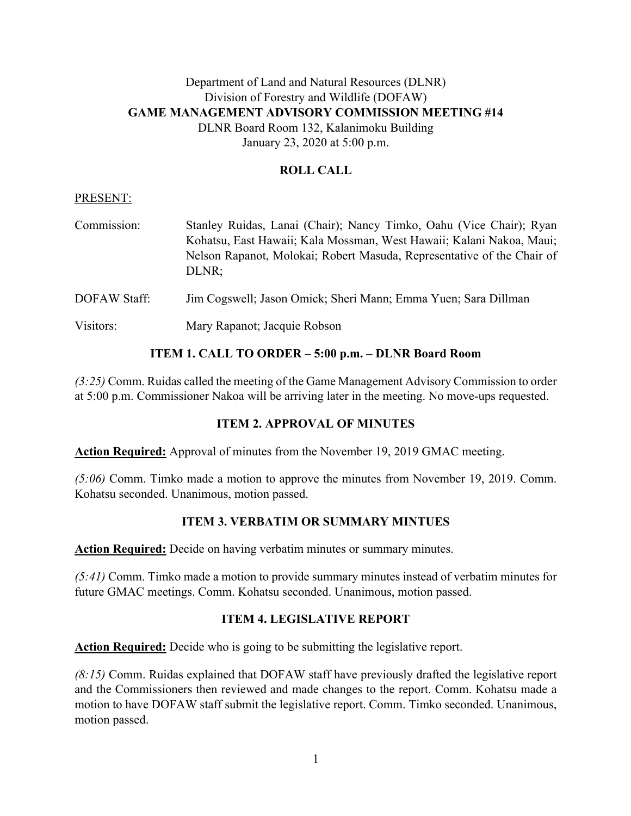# Department of Land and Natural Resources (DLNR) Division of Forestry and Wildlife (DOFAW) **GAME MANAGEMENT ADVISORY COMMISSION MEETING #14** DLNR Board Room 132, Kalanimoku Building January 23, 2020 at 5:00 p.m.

## **ROLL CALL**

#### PRESENT:

| Commission:  | Stanley Ruidas, Lanai (Chair); Nancy Timko, Oahu (Vice Chair); Ryan<br>Kohatsu, East Hawaii; Kala Mossman, West Hawaii; Kalani Nakoa, Maui;<br>Nelson Rapanot, Molokai; Robert Masuda, Representative of the Chair of<br>DLNR: |
|--------------|--------------------------------------------------------------------------------------------------------------------------------------------------------------------------------------------------------------------------------|
| DOFAW Staff: | Jim Cogswell; Jason Omick; Sheri Mann; Emma Yuen; Sara Dillman                                                                                                                                                                 |
| Visitors:    | Mary Rapanot; Jacquie Robson                                                                                                                                                                                                   |

## **ITEM 1. CALL TO ORDER – 5:00 p.m. – DLNR Board Room**

*(3:25)* Comm. Ruidas called the meeting of the Game Management Advisory Commission to order at 5:00 p.m. Commissioner Nakoa will be arriving later in the meeting. No move-ups requested.

## **ITEM 2. APPROVAL OF MINUTES**

**Action Required:** Approval of minutes from the November 19, 2019 GMAC meeting.

*(5:06)* Comm. Timko made a motion to approve the minutes from November 19, 2019. Comm. Kohatsu seconded. Unanimous, motion passed.

# **ITEM 3. VERBATIM OR SUMMARY MINTUES**

**Action Required:** Decide on having verbatim minutes or summary minutes.

*(5:41)* Comm. Timko made a motion to provide summary minutes instead of verbatim minutes for future GMAC meetings. Comm. Kohatsu seconded. Unanimous, motion passed.

## **ITEM 4. LEGISLATIVE REPORT**

**Action Required:** Decide who is going to be submitting the legislative report.

*(8:15)* Comm. Ruidas explained that DOFAW staff have previously drafted the legislative report and the Commissioners then reviewed and made changes to the report. Comm. Kohatsu made a motion to have DOFAW staff submit the legislative report. Comm. Timko seconded. Unanimous, motion passed.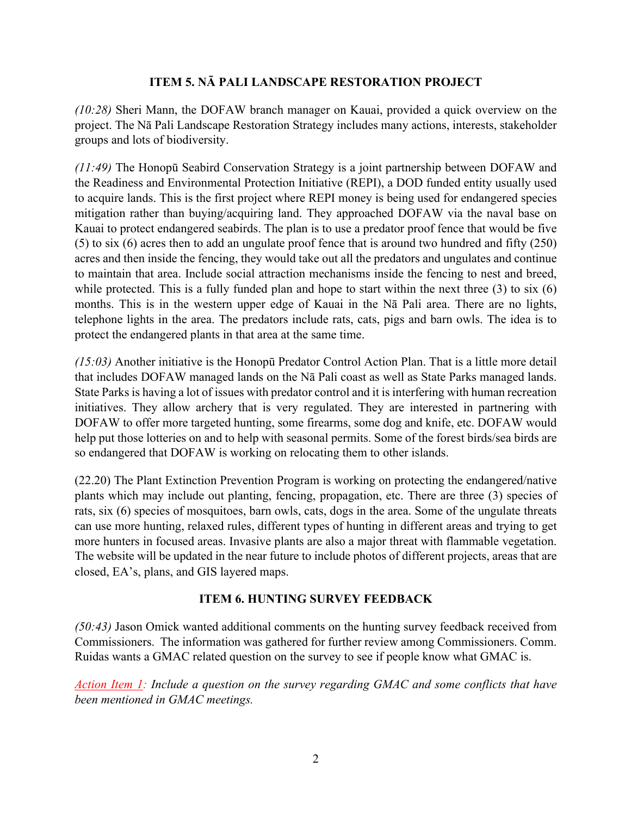## **ITEM 5. NĀ PALI LANDSCAPE RESTORATION PROJECT**

*(10:28)* Sheri Mann, the DOFAW branch manager on Kauai, provided a quick overview on the project. The Nā Pali Landscape Restoration Strategy includes many actions, interests, stakeholder groups and lots of biodiversity.

*(11:49)* The Honopū Seabird Conservation Strategy is a joint partnership between DOFAW and the Readiness and Environmental Protection Initiative (REPI), a DOD funded entity usually used to acquire lands. This is the first project where REPI money is being used for endangered species mitigation rather than buying/acquiring land. They approached DOFAW via the naval base on Kauai to protect endangered seabirds. The plan is to use a predator proof fence that would be five (5) to six (6) acres then to add an ungulate proof fence that is around two hundred and fifty (250) acres and then inside the fencing, they would take out all the predators and ungulates and continue to maintain that area. Include social attraction mechanisms inside the fencing to nest and breed, while protected. This is a fully funded plan and hope to start within the next three (3) to six (6) months. This is in the western upper edge of Kauai in the Nā Pali area. There are no lights, telephone lights in the area. The predators include rats, cats, pigs and barn owls. The idea is to protect the endangered plants in that area at the same time.

*(15:03)* Another initiative is the Honopū Predator Control Action Plan. That is a little more detail that includes DOFAW managed lands on the Nā Pali coast as well as State Parks managed lands. State Parks is having a lot of issues with predator control and it is interfering with human recreation initiatives. They allow archery that is very regulated. They are interested in partnering with DOFAW to offer more targeted hunting, some firearms, some dog and knife, etc. DOFAW would help put those lotteries on and to help with seasonal permits. Some of the forest birds/sea birds are so endangered that DOFAW is working on relocating them to other islands.

(22.20) The Plant Extinction Prevention Program is working on protecting the endangered/native plants which may include out planting, fencing, propagation, etc. There are three (3) species of rats, six (6) species of mosquitoes, barn owls, cats, dogs in the area. Some of the ungulate threats can use more hunting, relaxed rules, different types of hunting in different areas and trying to get more hunters in focused areas. Invasive plants are also a major threat with flammable vegetation. The website will be updated in the near future to include photos of different projects, areas that are closed, EA's, plans, and GIS layered maps.

# **ITEM 6. HUNTING SURVEY FEEDBACK**

*(50:43)* Jason Omick wanted additional comments on the hunting survey feedback received from Commissioners. The information was gathered for further review among Commissioners. Comm. Ruidas wants a GMAC related question on the survey to see if people know what GMAC is.

*Action Item 1: Include a question on the survey regarding GMAC and some conflicts that have been mentioned in GMAC meetings.*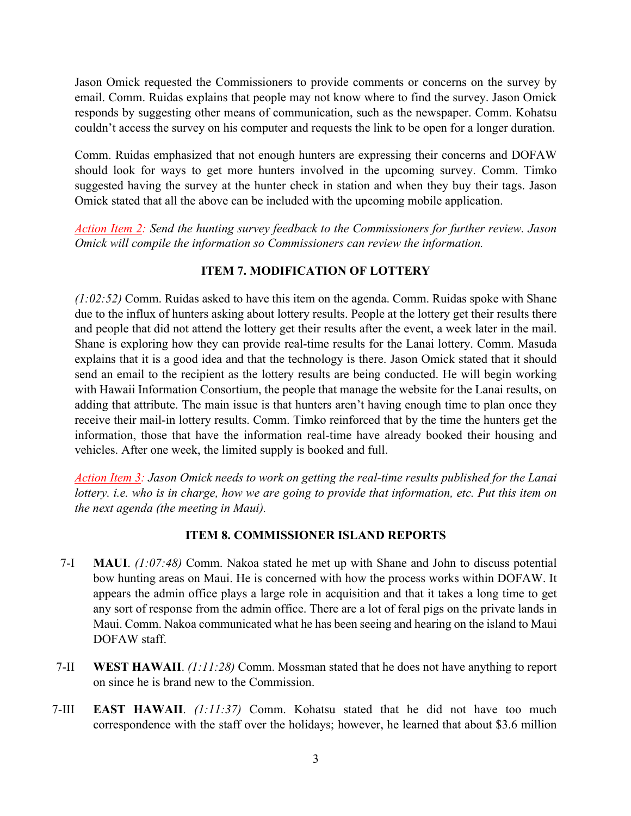Jason Omick requested the Commissioners to provide comments or concerns on the survey by email. Comm. Ruidas explains that people may not know where to find the survey. Jason Omick responds by suggesting other means of communication, such as the newspaper. Comm. Kohatsu couldn't access the survey on his computer and requests the link to be open for a longer duration.

Comm. Ruidas emphasized that not enough hunters are expressing their concerns and DOFAW should look for ways to get more hunters involved in the upcoming survey. Comm. Timko suggested having the survey at the hunter check in station and when they buy their tags. Jason Omick stated that all the above can be included with the upcoming mobile application.

*Action Item 2: Send the hunting survey feedback to the Commissioners for further review. Jason Omick will compile the information so Commissioners can review the information.* 

## **ITEM 7. MODIFICATION OF LOTTERY**

*(1:02:52)* Comm. Ruidas asked to have this item on the agenda. Comm. Ruidas spoke with Shane due to the influx of hunters asking about lottery results. People at the lottery get their results there and people that did not attend the lottery get their results after the event, a week later in the mail. Shane is exploring how they can provide real-time results for the Lanai lottery. Comm. Masuda explains that it is a good idea and that the technology is there. Jason Omick stated that it should send an email to the recipient as the lottery results are being conducted. He will begin working with Hawaii Information Consortium, the people that manage the website for the Lanai results, on adding that attribute. The main issue is that hunters aren't having enough time to plan once they receive their mail-in lottery results. Comm. Timko reinforced that by the time the hunters get the information, those that have the information real-time have already booked their housing and vehicles. After one week, the limited supply is booked and full.

*Action Item 3: Jason Omick needs to work on getting the real-time results published for the Lanai lottery. i.e. who is in charge, how we are going to provide that information, etc. Put this item on the next agenda (the meeting in Maui).* 

# **ITEM 8. COMMISSIONER ISLAND REPORTS**

- 7-I **MAUI**. *(1:07:48)* Comm. Nakoa stated he met up with Shane and John to discuss potential bow hunting areas on Maui. He is concerned with how the process works within DOFAW. It appears the admin office plays a large role in acquisition and that it takes a long time to get any sort of response from the admin office. There are a lot of feral pigs on the private lands in Maui. Comm. Nakoa communicated what he has been seeing and hearing on the island to Maui DOFAW staff.
- 7-II **WEST HAWAII**. *(1:11:28)* Comm. Mossman stated that he does not have anything to report on since he is brand new to the Commission.
- 7-III **EAST HAWAII**. *(1:11:37)* Comm. Kohatsu stated that he did not have too much correspondence with the staff over the holidays; however, he learned that about \$3.6 million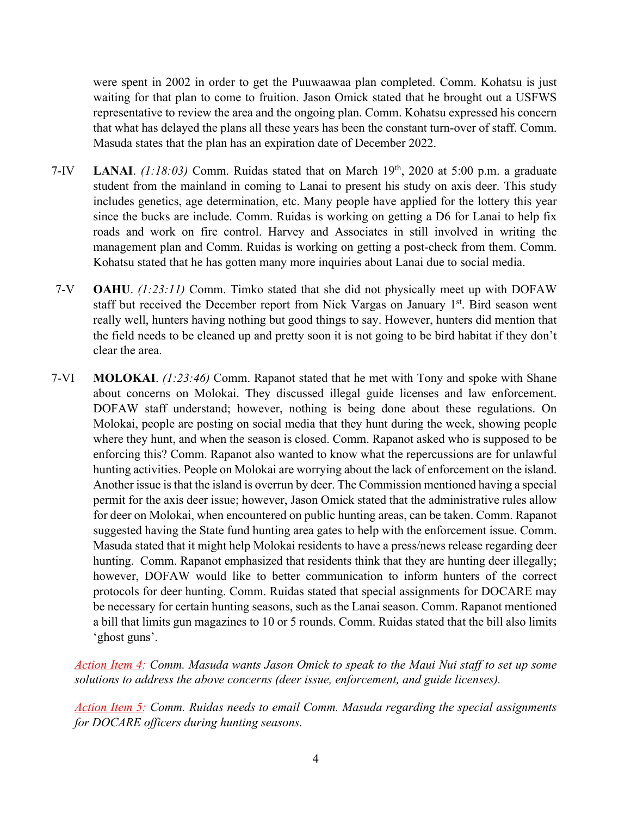were spent in 2002 in order to get the Puuwaawaa plan completed. Comm. Kohatsu is just waiting for that plan to come to fruition. Jason Omick stated that he brought out a USFWS representative to review the area and the ongoing plan. Comm. Kohatsu expressed his concern that what has delayed the plans all these years has been the constant turn-over of staff. Comm. Masuda states that the plan has an expiration date of December 2022.

- 7-IV **LANAI**. *(1:18:03)* Comm. Ruidas stated that on March 19th, 2020 at 5:00 p.m. a graduate student from the mainland in coming to Lanai to present his study on axis deer. This study includes genetics, age determination, etc. Many people have applied for the lottery this year since the bucks are include. Comm. Ruidas is working on getting a D6 for Lanai to help fix roads and work on fire control. Harvey and Associates in still involved in writing the management plan and Comm. Ruidas is working on getting a post-check from them. Comm. Kohatsu stated that he has gotten many more inquiries about Lanai due to social media.
- 7-V **OAHU**. *(1:23:11)* Comm. Timko stated that she did not physically meet up with DOFAW staff but received the December report from Nick Vargas on January 1<sup>st</sup>. Bird season went really well, hunters having nothing but good things to say. However, hunters did mention that the field needs to be cleaned up and pretty soon it is not going to be bird habitat if they don't clear the area.
- 7-VI **MOLOKAI**. *(1:23:46)* Comm. Rapanot stated that he met with Tony and spoke with Shane about concerns on Molokai. They discussed illegal guide licenses and law enforcement. DOFAW staff understand; however, nothing is being done about these regulations. On Molokai, people are posting on social media that they hunt during the week, showing people where they hunt, and when the season is closed. Comm. Rapanot asked who is supposed to be enforcing this? Comm. Rapanot also wanted to know what the repercussions are for unlawful hunting activities. People on Molokai are worrying about the lack of enforcement on the island. Another issue is that the island is overrun by deer. The Commission mentioned having a special permit for the axis deer issue; however, Jason Omick stated that the administrative rules allow for deer on Molokai, when encountered on public hunting areas, can be taken. Comm. Rapanot suggested having the State fund hunting area gates to help with the enforcement issue. Comm. Masuda stated that it might help Molokai residents to have a press/news release regarding deer hunting. Comm. Rapanot emphasized that residents think that they are hunting deer illegally; however, DOFAW would like to better communication to inform hunters of the correct protocols for deer hunting. Comm. Ruidas stated that special assignments for DOCARE may be necessary for certain hunting seasons, such as the Lanai season. Comm. Rapanot mentioned a bill that limits gun magazines to 10 or 5 rounds. Comm. Ruidas stated that the bill also limits 'ghost guns'.

*Action Item 4: Comm. Masuda wants Jason Omick to speak to the Maui Nui staff to set up some solutions to address the above concerns (deer issue, enforcement, and guide licenses).*

*Action Item 5: Comm. Ruidas needs to email Comm. Masuda regarding the special assignments for DOCARE officers during hunting seasons.*